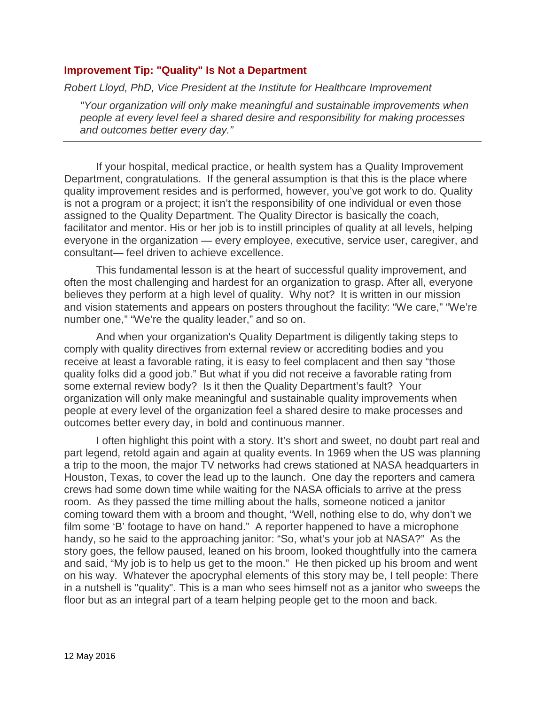## **Improvement Tip: "Quality" Is Not a Department**

*Robert Lloyd, PhD, Vice President at the Institute for Healthcare Improvement*

*"Your organization will only make meaningful and sustainable improvements when people at every level feel a shared desire and responsibility for making processes and outcomes better every day."* 

If your hospital, medical practice, or health system has a Quality Improvement Department, congratulations. If the general assumption is that this is the place where quality improvement resides and is performed, however, you've got work to do. Quality is not a program or a project; it isn't the responsibility of one individual or even those assigned to the Quality Department. The Quality Director is basically the coach, facilitator and mentor. His or her job is to instill principles of quality at all levels, helping everyone in the organization — every employee, executive, service user, caregiver, and consultant— feel driven to achieve excellence.

This fundamental lesson is at the heart of successful quality improvement, and often the most challenging and hardest for an organization to grasp. After all, everyone believes they perform at a high level of quality. Why not? It is written in our mission and vision statements and appears on posters throughout the facility: "We care," "We're number one," "We're the quality leader," and so on.

And when your organization's Quality Department is diligently taking steps to comply with quality directives from external review or accrediting bodies and you receive at least a favorable rating, it is easy to feel complacent and then say "those quality folks did a good job." But what if you did not receive a favorable rating from some external review body? Is it then the Quality Department's fault? Your organization will only make meaningful and sustainable quality improvements when people at every level of the organization feel a shared desire to make processes and outcomes better every day, in bold and continuous manner.

I often highlight this point with a story. It's short and sweet, no doubt part real and part legend, retold again and again at quality events. In 1969 when the US was planning a trip to the moon, the major TV networks had crews stationed at NASA headquarters in Houston, Texas, to cover the lead up to the launch. One day the reporters and camera crews had some down time while waiting for the NASA officials to arrive at the press room. As they passed the time milling about the halls, someone noticed a janitor coming toward them with a broom and thought, "Well, nothing else to do, why don't we film some 'B' footage to have on hand." A reporter happened to have a microphone handy, so he said to the approaching janitor: "So, what's your job at NASA?" As the story goes, the fellow paused, leaned on his broom, looked thoughtfully into the camera and said, "My job is to help us get to the moon." He then picked up his broom and went on his way. Whatever the apocryphal elements of this story may be, I tell people: There in a nutshell is "quality". This is a man who sees himself not as a janitor who sweeps the floor but as an integral part of a team helping people get to the moon and back.